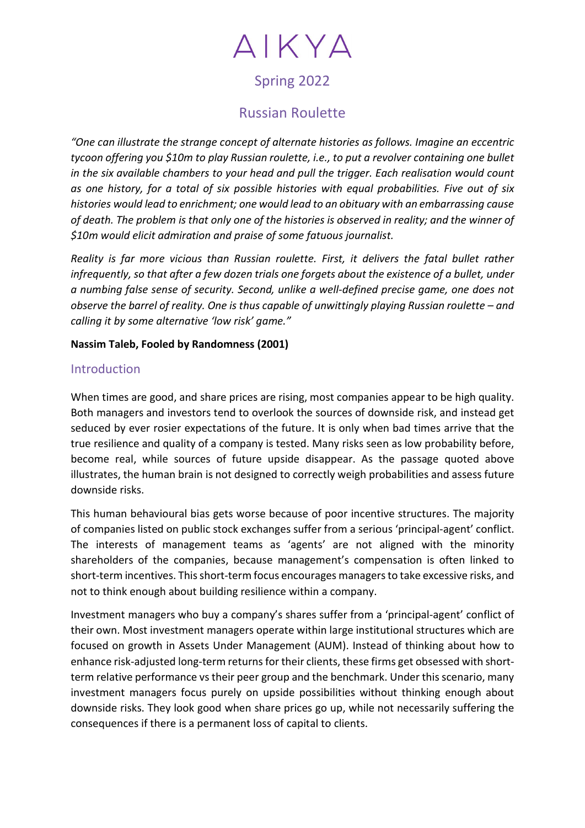# AIKYA

# Spring 2022

# Russian Roulette

"One can illustrate the strange concept of alternate histories as follows. Imagine an eccentric tycoon offering you \$10m to play Russian roulette, i.e., to put a revolver containing one bullet in the six available chambers to your head and pull the trigger. Each realisation would count as one history, for a total of six possible histories with equal probabilities. Five out of six histories would lead to enrichment; one would lead to an obituary with an embarrassing cause of death. The problem is that only one of the histories is observed in reality; and the winner of \$10m would elicit admiration and praise of some fatuous journalist.

Reality is far more vicious than Russian roulette. First, it delivers the fatal bullet rather infrequently, so that after a few dozen trials one forgets about the existence of a bullet, under a numbing false sense of security. Second, unlike a well-defined precise game, one does not observe the barrel of reality. One is thus capable of unwittingly playing Russian roulette – and calling it by some alternative 'low risk' game."

#### Nassim Taleb, Fooled by Randomness (2001)

## **Introduction**

When times are good, and share prices are rising, most companies appear to be high quality. Both managers and investors tend to overlook the sources of downside risk, and instead get seduced by ever rosier expectations of the future. It is only when bad times arrive that the true resilience and quality of a company is tested. Many risks seen as low probability before, become real, while sources of future upside disappear. As the passage quoted above illustrates, the human brain is not designed to correctly weigh probabilities and assess future downside risks.

This human behavioural bias gets worse because of poor incentive structures. The majority of companies listed on public stock exchanges suffer from a serious 'principal-agent' conflict. The interests of management teams as 'agents' are not aligned with the minority shareholders of the companies, because management's compensation is often linked to short-term incentives. This short-term focus encourages managers to take excessive risks, and not to think enough about building resilience within a company.

Investment managers who buy a company's shares suffer from a 'principal-agent' conflict of their own. Most investment managers operate within large institutional structures which are focused on growth in Assets Under Management (AUM). Instead of thinking about how to enhance risk-adjusted long-term returns for their clients, these firms get obsessed with shortterm relative performance vs their peer group and the benchmark. Under this scenario, many investment managers focus purely on upside possibilities without thinking enough about downside risks. They look good when share prices go up, while not necessarily suffering the consequences if there is a permanent loss of capital to clients.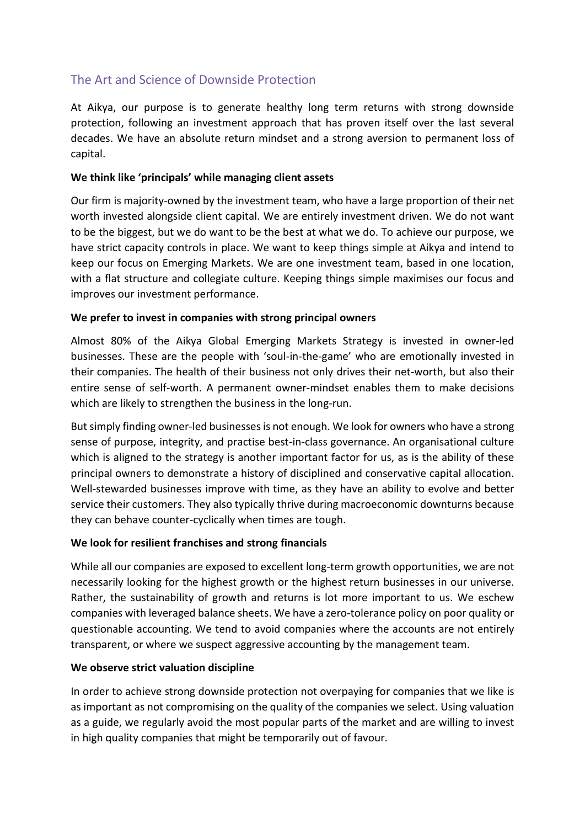# The Art and Science of Downside Protection

At Aikya, our purpose is to generate healthy long term returns with strong downside protection, following an investment approach that has proven itself over the last several decades. We have an absolute return mindset and a strong aversion to permanent loss of capital.

#### We think like 'principals' while managing client assets

Our firm is majority-owned by the investment team, who have a large proportion of their net worth invested alongside client capital. We are entirely investment driven. We do not want to be the biggest, but we do want to be the best at what we do. To achieve our purpose, we have strict capacity controls in place. We want to keep things simple at Aikya and intend to keep our focus on Emerging Markets. We are one investment team, based in one location, with a flat structure and collegiate culture. Keeping things simple maximises our focus and improves our investment performance.

#### We prefer to invest in companies with strong principal owners

Almost 80% of the Aikya Global Emerging Markets Strategy is invested in owner-led businesses. These are the people with 'soul-in-the-game' who are emotionally invested in their companies. The health of their business not only drives their net-worth, but also their entire sense of self-worth. A permanent owner-mindset enables them to make decisions which are likely to strengthen the business in the long-run.

But simply finding owner-led businesses is not enough. We look for owners who have a strong sense of purpose, integrity, and practise best-in-class governance. An organisational culture which is aligned to the strategy is another important factor for us, as is the ability of these principal owners to demonstrate a history of disciplined and conservative capital allocation. Well-stewarded businesses improve with time, as they have an ability to evolve and better service their customers. They also typically thrive during macroeconomic downturns because they can behave counter-cyclically when times are tough.

## We look for resilient franchises and strong financials

While all our companies are exposed to excellent long-term growth opportunities, we are not necessarily looking for the highest growth or the highest return businesses in our universe. Rather, the sustainability of growth and returns is lot more important to us. We eschew companies with leveraged balance sheets. We have a zero-tolerance policy on poor quality or questionable accounting. We tend to avoid companies where the accounts are not entirely transparent, or where we suspect aggressive accounting by the management team.

## We observe strict valuation discipline

In order to achieve strong downside protection not overpaying for companies that we like is as important as not compromising on the quality of the companies we select. Using valuation as a guide, we regularly avoid the most popular parts of the market and are willing to invest in high quality companies that might be temporarily out of favour.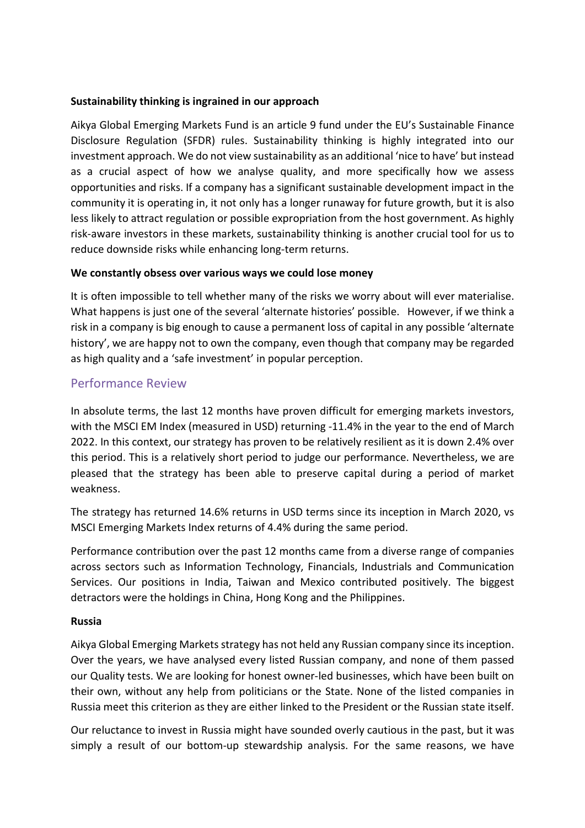#### Sustainability thinking is ingrained in our approach

Aikya Global Emerging Markets Fund is an article 9 fund under the EU's Sustainable Finance Disclosure Regulation (SFDR) rules. Sustainability thinking is highly integrated into our investment approach. We do not view sustainability as an additional 'nice to have' but instead as a crucial aspect of how we analyse quality, and more specifically how we assess opportunities and risks. If a company has a significant sustainable development impact in the community it is operating in, it not only has a longer runaway for future growth, but it is also less likely to attract regulation or possible expropriation from the host government. As highly risk-aware investors in these markets, sustainability thinking is another crucial tool for us to reduce downside risks while enhancing long-term returns.

#### We constantly obsess over various ways we could lose money

It is often impossible to tell whether many of the risks we worry about will ever materialise. What happens is just one of the several 'alternate histories' possible. However, if we think a risk in a company is big enough to cause a permanent loss of capital in any possible 'alternate history', we are happy not to own the company, even though that company may be regarded as high quality and a 'safe investment' in popular perception.

## Performance Review

In absolute terms, the last 12 months have proven difficult for emerging markets investors, with the MSCI EM Index (measured in USD) returning -11.4% in the year to the end of March 2022. In this context, our strategy has proven to be relatively resilient as it is down 2.4% over this period. This is a relatively short period to judge our performance. Nevertheless, we are pleased that the strategy has been able to preserve capital during a period of market weakness.

The strategy has returned 14.6% returns in USD terms since its inception in March 2020, vs MSCI Emerging Markets Index returns of 4.4% during the same period.

Performance contribution over the past 12 months came from a diverse range of companies across sectors such as Information Technology, Financials, Industrials and Communication Services. Our positions in India, Taiwan and Mexico contributed positively. The biggest detractors were the holdings in China, Hong Kong and the Philippines.

## Russia

Aikya Global Emerging Markets strategy has not held any Russian company since its inception. Over the years, we have analysed every listed Russian company, and none of them passed our Quality tests. We are looking for honest owner-led businesses, which have been built on their own, without any help from politicians or the State. None of the listed companies in Russia meet this criterion as they are either linked to the President or the Russian state itself.

Our reluctance to invest in Russia might have sounded overly cautious in the past, but it was simply a result of our bottom-up stewardship analysis. For the same reasons, we have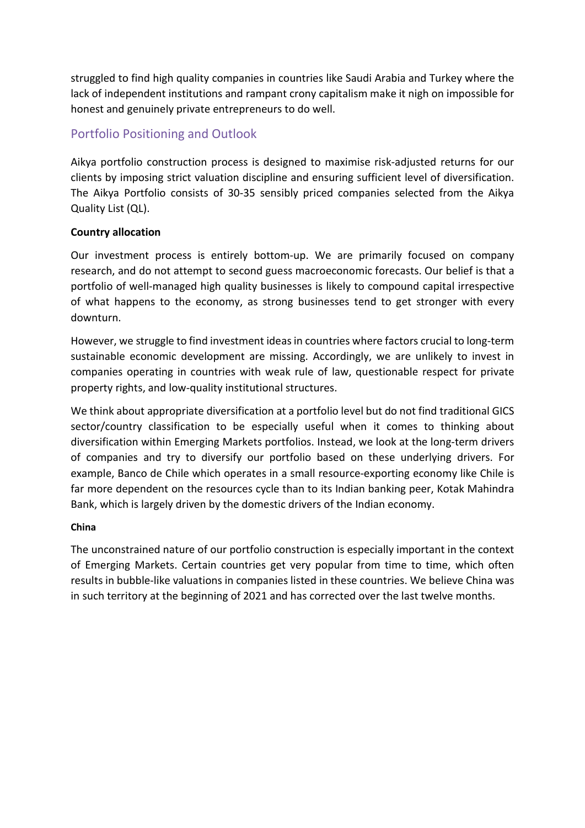struggled to find high quality companies in countries like Saudi Arabia and Turkey where the lack of independent institutions and rampant crony capitalism make it nigh on impossible for honest and genuinely private entrepreneurs to do well.

# Portfolio Positioning and Outlook

Aikya portfolio construction process is designed to maximise risk-adjusted returns for our clients by imposing strict valuation discipline and ensuring sufficient level of diversification. The Aikya Portfolio consists of 30-35 sensibly priced companies selected from the Aikya Quality List (QL).

## Country allocation

Our investment process is entirely bottom-up. We are primarily focused on company research, and do not attempt to second guess macroeconomic forecasts. Our belief is that a portfolio of well-managed high quality businesses is likely to compound capital irrespective of what happens to the economy, as strong businesses tend to get stronger with every downturn.

However, we struggle to find investment ideas in countries where factors crucial to long-term sustainable economic development are missing. Accordingly, we are unlikely to invest in companies operating in countries with weak rule of law, questionable respect for private property rights, and low-quality institutional structures.

We think about appropriate diversification at a portfolio level but do not find traditional GICS sector/country classification to be especially useful when it comes to thinking about diversification within Emerging Markets portfolios. Instead, we look at the long-term drivers of companies and try to diversify our portfolio based on these underlying drivers. For example, Banco de Chile which operates in a small resource-exporting economy like Chile is far more dependent on the resources cycle than to its Indian banking peer, Kotak Mahindra Bank, which is largely driven by the domestic drivers of the Indian economy.

## China

The unconstrained nature of our portfolio construction is especially important in the context of Emerging Markets. Certain countries get very popular from time to time, which often results in bubble-like valuations in companies listed in these countries. We believe China was in such territory at the beginning of 2021 and has corrected over the last twelve months.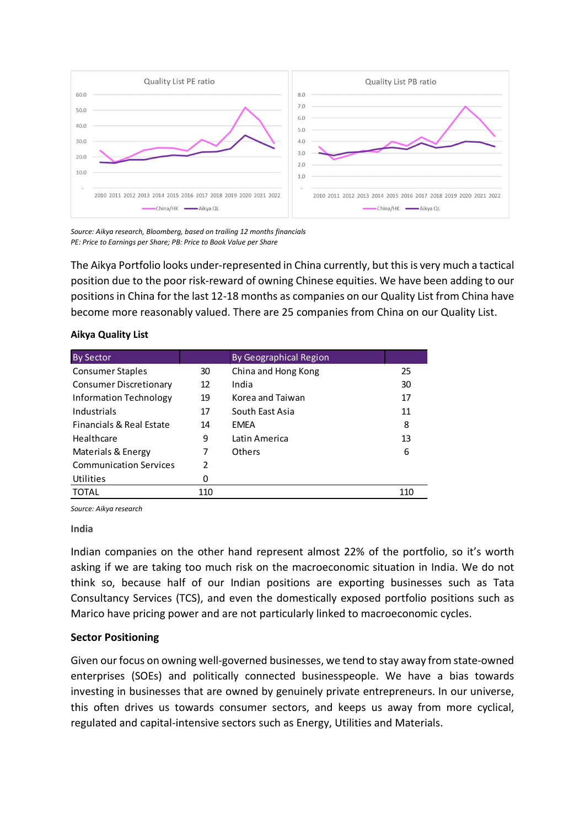

Source: Aikya research, Bloomberg, based on trailing 12 months financials PE: Price to Earnings per Share; PB: Price to Book Value per Share

|                                                                                                                                                                       |     | 4.0                           |                                                                                                                                                                                                                                                                                                                                                                                           |
|-----------------------------------------------------------------------------------------------------------------------------------------------------------------------|-----|-------------------------------|-------------------------------------------------------------------------------------------------------------------------------------------------------------------------------------------------------------------------------------------------------------------------------------------------------------------------------------------------------------------------------------------|
| 20.0                                                                                                                                                                  |     | 3.0                           |                                                                                                                                                                                                                                                                                                                                                                                           |
| 10.0                                                                                                                                                                  |     | 2.0                           |                                                                                                                                                                                                                                                                                                                                                                                           |
|                                                                                                                                                                       |     | 1.0                           |                                                                                                                                                                                                                                                                                                                                                                                           |
| 2010 2011 2012 2013 2014 2015 2016 2017 2018 2019 2020 2021 2022                                                                                                      |     |                               | 2010 2011 2012 2013 2014 2015 2016 2017 2018 2019 2020 2021 2022                                                                                                                                                                                                                                                                                                                          |
| China/HK <a>Aikya QL</a>                                                                                                                                              |     |                               | China/HK -Aikya QL                                                                                                                                                                                                                                                                                                                                                                        |
| Source: Aikya research, Bloomberg, based on trailing 12 months financials<br>PE: Price to Earnings per Share; PB: Price to Book Value per Share<br>Aikya Quality List |     |                               | The Aikya Portfolio looks under-represented in China currently, but this is very much a tactical<br>position due to the poor risk-reward of owning Chinese equities. We have been adding to our<br>positions in China for the last 12-18 months as companies on our Quality List from China have<br>become more reasonably valued. There are 25 companies from China on our Quality List. |
|                                                                                                                                                                       |     |                               |                                                                                                                                                                                                                                                                                                                                                                                           |
| <b>By Sector</b>                                                                                                                                                      |     | <b>By Geographical Region</b> |                                                                                                                                                                                                                                                                                                                                                                                           |
| <b>Consumer Staples</b>                                                                                                                                               | 30  | China and Hong Kong           | 25                                                                                                                                                                                                                                                                                                                                                                                        |
| <b>Consumer Discretionary</b>                                                                                                                                         | 12  | India                         | 30                                                                                                                                                                                                                                                                                                                                                                                        |
| <b>Information Technology</b>                                                                                                                                         | 19  | Korea and Taiwan              | 17                                                                                                                                                                                                                                                                                                                                                                                        |
| Industrials                                                                                                                                                           | 17  | South East Asia               | 11                                                                                                                                                                                                                                                                                                                                                                                        |
| Financials & Real Estate                                                                                                                                              | 14  | <b>EMEA</b>                   | 8                                                                                                                                                                                                                                                                                                                                                                                         |
| Healthcare                                                                                                                                                            | 9   | Latin America                 | 13                                                                                                                                                                                                                                                                                                                                                                                        |
|                                                                                                                                                                       | 7   | Others                        | 6                                                                                                                                                                                                                                                                                                                                                                                         |
| Materials & Energy<br><b>Communication Services</b>                                                                                                                   | 2   |                               |                                                                                                                                                                                                                                                                                                                                                                                           |
| Utilities                                                                                                                                                             | 0   |                               |                                                                                                                                                                                                                                                                                                                                                                                           |
| <b>TOTAL</b>                                                                                                                                                          | 110 |                               | 110                                                                                                                                                                                                                                                                                                                                                                                       |
|                                                                                                                                                                       |     |                               |                                                                                                                                                                                                                                                                                                                                                                                           |
| Source: Aikya research<br>India                                                                                                                                       |     |                               |                                                                                                                                                                                                                                                                                                                                                                                           |

#### Aikya Quality List

#### India

Indian companies on the other hand represent almost 22% of the portfolio, so it's worth asking if we are taking too much risk on the macroeconomic situation in India. We do not think so, because half of our Indian positions are exporting businesses such as Tata Consultancy Services (TCS), and even the domestically exposed portfolio positions such as Marico have pricing power and are not particularly linked to macroeconomic cycles.

#### Sector Positioning

Given our focus on owning well-governed businesses, we tend to stay away from state-owned enterprises (SOEs) and politically connected businesspeople. We have a bias towards investing in businesses that are owned by genuinely private entrepreneurs. In our universe, this often drives us towards consumer sectors, and keeps us away from more cyclical, regulated and capital-intensive sectors such as Energy, Utilities and Materials.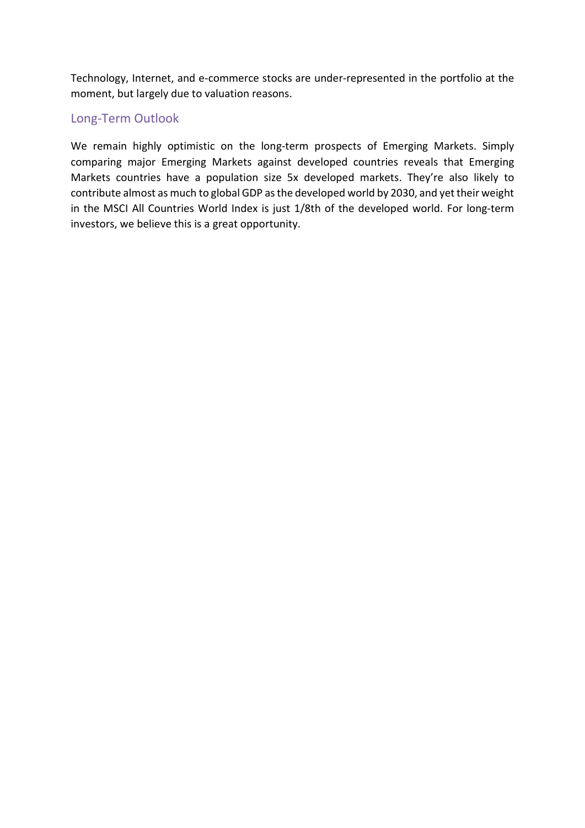Technology, Internet, and e-commerce stocks are under-represented in the portfolio at the moment, but largely due to valuation reasons.

## Long-Term Outlook

We remain highly optimistic on the long-term prospects of Emerging Markets. Simply comparing major Emerging Markets against developed countries reveals that Emerging Markets countries have a population size 5x developed markets. They're also likely to contribute almost as much to global GDP as the developed world by 2030, and yet their weight in the MSCI All Countries World Index is just 1/8th of the developed world. For long-term investors, we believe this is a great opportunity.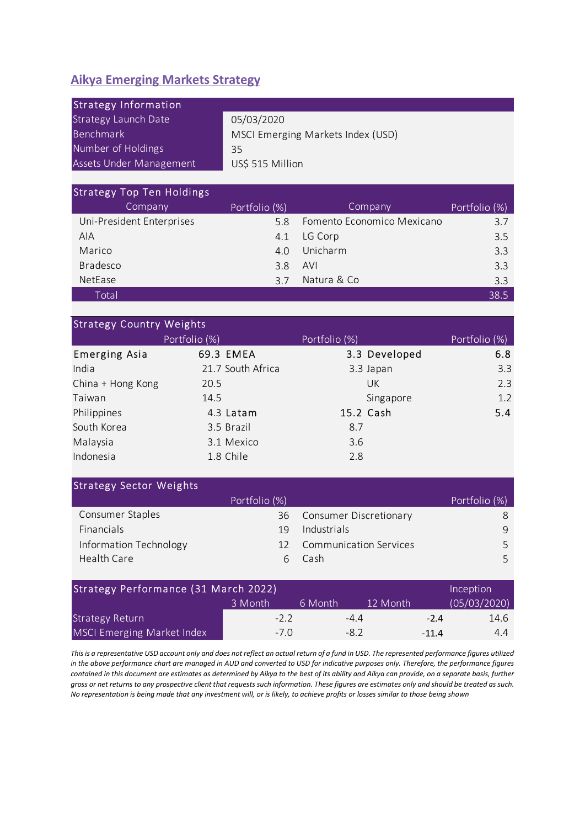# Aikya Emerging Markets Strategy

| <b>Aikya Emerging Markets Strategy</b>                                                                                   |                                      |                                              |                |
|--------------------------------------------------------------------------------------------------------------------------|--------------------------------------|----------------------------------------------|----------------|
| <b>Strategy Information</b><br><b>Strategy Launch Date</b><br>Benchmark<br>Number of Holdings<br>Assets Under Management | 05/03/2020<br>35<br>US\$ 515 Million | MSCI Emerging Markets Index (USD)            |                |
| <b>Strategy Top Ten Holdings</b>                                                                                         |                                      |                                              |                |
| Company                                                                                                                  | Portfolio (%)                        | Company                                      | Portfolio (%)  |
| Uni-President Enterprises<br><b>AIA</b>                                                                                  | 5.8                                  | Fomento Economico Mexicano                   | 3.7            |
| Marico                                                                                                                   | 4.1<br>4.0                           | LG Corp<br>Unicharm                          | 3.5<br>3.3     |
| Bradesco                                                                                                                 | 3.8                                  | AVI                                          | 3.3            |
| NetEase                                                                                                                  | 3.7                                  | Natura & Co                                  | 3.3            |
| Total                                                                                                                    |                                      |                                              | 38.5           |
| <b>Strategy Country Weights</b>                                                                                          |                                      |                                              |                |
|                                                                                                                          | Portfolio (%)                        | Portfolio (%)                                | Portfolio (%)  |
| <b>Emerging Asia</b>                                                                                                     | 69.3 EMEA                            | 3.3 Developed                                | 6.8            |
| India                                                                                                                    | 21.7 South Africa                    | 3.3 Japan                                    | 3.3            |
| China + Hong Kong                                                                                                        | 20.5                                 | UK                                           | 2.3            |
| Taiwan                                                                                                                   | 14.5                                 | Singapore                                    | 1.2            |
| Philippines                                                                                                              | 4.3 Latam                            | 15.2 Cash                                    | 5.4            |
| South Korea                                                                                                              | 3.5 Brazil                           | 8.7                                          |                |
| Malaysia                                                                                                                 | 3.1 Mexico                           | 3.6                                          |                |
| Indonesia                                                                                                                | 1.8 Chile                            | 2.8                                          |                |
| <b>Strategy Sector Weights</b>                                                                                           |                                      |                                              |                |
|                                                                                                                          | Portfolio (%)                        |                                              | Portfolio (%)  |
| Consumer Staples<br>Financials                                                                                           | 36                                   | <b>Consumer Discretionary</b>                | 8              |
|                                                                                                                          | 19                                   | Industrials<br><b>Communication Services</b> | 9              |
| Information Technology<br>Health Care                                                                                    | 12                                   | Cash<br>6                                    | 5<br>5         |
|                                                                                                                          |                                      |                                              |                |
| Strategy Performance (31 March 2022)                                                                                     |                                      |                                              | Inception      |
|                                                                                                                          | 3 Month                              | 6 Month<br>12 Month                          | (05/03/2020)   |
|                                                                                                                          | $-2.2$                               | $-4.4$                                       | 14.6<br>$-2.4$ |
| <b>Strategy Return</b><br><b>MSCI Emerging Market Index</b>                                                              | $-7.0$                               | $-8.2$                                       | $-11.4$<br>4.4 |

| Consumer Staples       |    | 36 Consumer Discretionary |   |  |
|------------------------|----|---------------------------|---|--|
| <b>Financials</b>      | 19 | Industrials               | q |  |
| Information Technology | 12 | Communication Services    |   |  |
| Health Care            |    | 6 Cash                    |   |  |
|                        |    |                           |   |  |

| Strategy Performance (31 March 2022)<br>Inception |         |         |          |         |              |  |
|---------------------------------------------------|---------|---------|----------|---------|--------------|--|
|                                                   | 3 Month | 6 Month | 12 Month |         | (05/03/2020) |  |
| <b>Strategy Return</b>                            | $-2.2$  |         | -44      | $-2.4$  | 14.6         |  |
| <b>MSCI Emerging Market Index</b>                 | $-7.0$  |         | $-8.2$   | $-11.4$ | 4.4          |  |